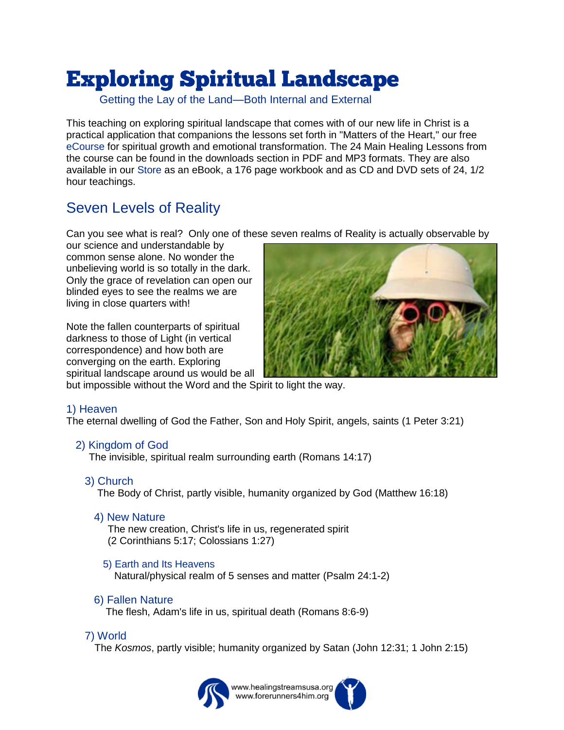# **Exploring Spiritual Landscape**

Getting the Lay of the Land—Both Internal and External

This teaching on exploring spiritual landscape that comes with of our new life in Christ is a practical application that companions the lessons set forth in "Matters of the Heart," our free [eCourse](https://www.healingstreamsusa.org/ecourse-for-emotional-spiritual-healing-p1) for spiritual growth and emotional transformation. The 24 Main Healing Lessons from the course can be found in the downloads section in PDF and MP3 formats. They are also available in our [Store](https://www.healingstreamsusa.org/resources) as an eBook, a 176 page workbook and as CD and DVD sets of 24, 1/2 hour teachings.

## Seven Levels of Reality

Can you see what is real? Only one of these seven realms of Reality is actually observable by

our science and understandable by common sense alone. No wonder the unbelieving world is so totally in the dark. Only the grace of revelation can open our blinded eyes to see the realms we are living in close quarters with!

Note the fallen counterparts of spiritual darkness to those of Light (in vertical correspondence) and how both are converging on the earth. Exploring spiritual landscape around us would be all



but impossible without the Word and the Spirit to light the way.

#### 1) Heaven

The eternal dwelling of God the Father, Son and Holy Spirit, angels, saints (1 Peter 3:21)

#### 2) Kingdom of God

The invisible, spiritual realm surrounding earth (Romans 14:17)

3) Church

The Body of Christ, partly visible, humanity organized by God (Matthew 16:18)

4) New Nature

The new creation, Christ's life in us, regenerated spirit (2 Corinthians 5:17; Colossians 1:27)

#### 5) Earth and Its Heavens

Natural/physical realm of 5 senses and matter (Psalm 24:1-2)

#### 6) Fallen Nature

The flesh, Adam's life in us, spiritual death (Romans 8:6-9)

#### 7) World

The *Kosmos*, partly visible; humanity organized by Satan (John 12:31; 1 John 2:15)